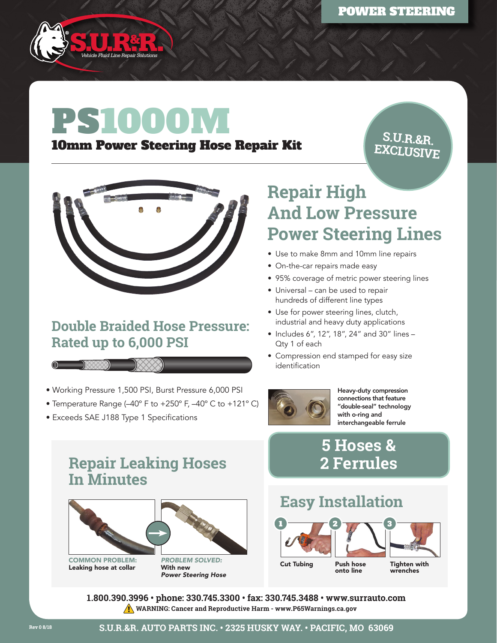

# PS 1000M

#### 10mm Power Steering Hose Repair Kit

**S.U.R.&R. EXCLUSIVE**



#### **Double Braided Hose Pressure: Rated up to 6,000 PSI**



- Temperature Range (–40º F to +250º F, –40º C to +121º C)
- Exceeds SAE J188 Type 1 Specifications

 $\circ$   $\mathbb{R}$ 

## **Repair High And Low Pressure Power Steering Lines**

- Use to make 8mm and 10mm line repairs
- On-the-car repairs made easy
- 95% coverage of metric power steering lines
- Universal can be used to repair hundreds of different line types
- Use for power steering lines, clutch, industrial and heavy duty applications
- Includes 6", 12", 18", 24" and 30" lines Qty 1 of each
- Compression end stamped for easy size identification



Heavy-duty compression connections that feature "double-seal" technology with o-ring and interchangeable ferrule

### **5 Hoses & 2 Ferrules**

#### **Repair Leaking Hoses In Minutes**



COMMON PROBLEM: Leaking hose at collar



## **Easy Installation**



**1.800.390.3996 • phone: 330.745.3300 • fax: 330.745.3488 • www.surrauto.com WARNING: Cancer and Reproductive Harm - www.P65Warnings.ca.gov**